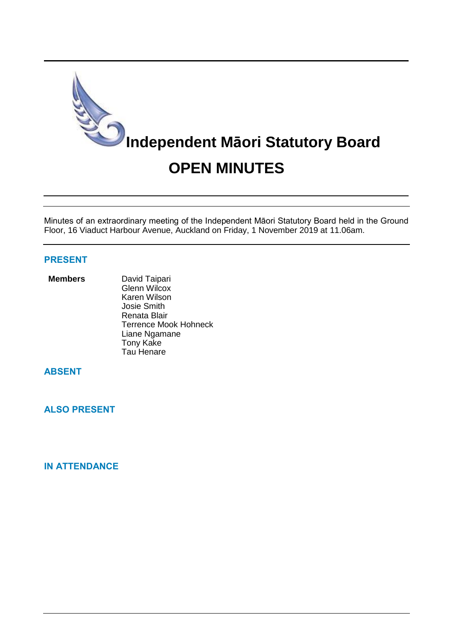

Minutes of an extraordinary meeting of the Independent Māori Statutory Board held in the Ground Floor, 16 Viaduct Harbour Avenue, Auckland on Friday, 1 November 2019 at 11.06am.

# **PRESENT**

#### **Members** David Taipari

Glenn Wilcox Karen Wilson Josie Smith Renata Blair Terrence Mook Hohneck Liane Ngamane Tony Kake Tau Henare

# **ABSENT**

**ALSO PRESENT**

# **IN ATTENDANCE**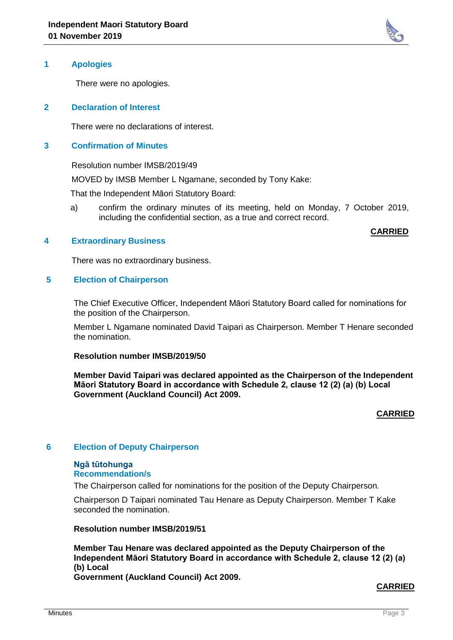

There were no apologies.

## **2 Declaration of Interest**

There were no declarations of interest.

### **3 Confirmation of Minutes**

Resolution number IMSB/2019/49

MOVED by IMSB Member L Ngamane, seconded by Tony Kake:

That the Independent Māori Statutory Board:

 a) confirm the ordinary minutes of its meeting, held on Monday, 7 October 2019, including the confidential section, as a true and correct record.

#### **CARRIED**

#### **4 Extraordinary Business**

There was no extraordinary business.

#### **5 Election of Chairperson**

The Chief Executive Officer, Independent Māori Statutory Board called for nominations for the position of the Chairperson.

Member L Ngamane nominated David Taipari as Chairperson. Member T Henare seconded the nomination.

#### **Resolution number IMSB/2019/50**

**Member David Taipari was declared appointed as the Chairperson of the Independent Māori Statutory Board in accordance with Schedule 2, clause 12 (2) (a) (b) Local Government (Auckland Council) Act 2009.**

### **CARRIED**

#### **6 Election of Deputy Chairperson**

# **Ngā tūtohunga**

**Recommendation/s**

The Chairperson called for nominations for the position of the Deputy Chairperson.

Chairperson D Taipari nominated Tau Henare as Deputy Chairperson. Member T Kake seconded the nomination.

**Resolution number IMSB/2019/51**

**Member Tau Henare was declared appointed as the Deputy Chairperson of the Independent Māori Statutory Board in accordance with Schedule 2, clause 12 (2) (a) (b) Local Government (Auckland Council) Act 2009.**

# **CARRIED**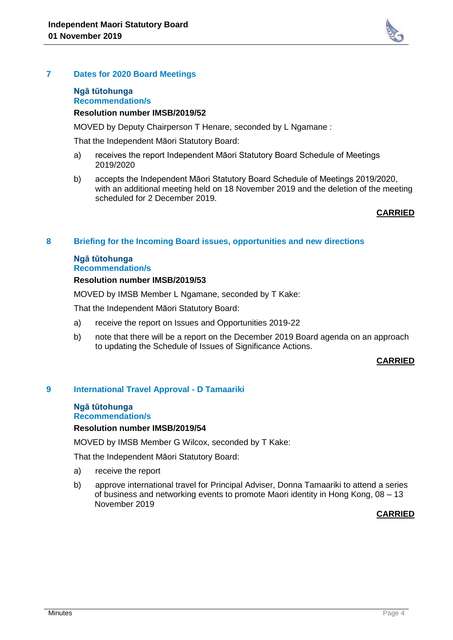

## **Ngā tūtohunga Recommendation/s**

## **Resolution number IMSB/2019/52**

MOVED by Deputy Chairperson T Henare, seconded by L Ngamane :

That the Independent Māori Statutory Board:

- a) receives the report Independent Māori Statutory Board Schedule of Meetings 2019/2020
- b) accepts the Independent Māori Statutory Board Schedule of Meetings 2019/2020, with an additional meeting held on 18 November 2019 and the deletion of the meeting scheduled for 2 December 2019.

## **CARRIED**

## **8 Briefing for the Incoming Board issues, opportunities and new directions**

#### **Ngā tūtohunga Recommendation/s**

## **Resolution number IMSB/2019/53**

MOVED by IMSB Member L Ngamane, seconded by T Kake:

That the Independent Māori Statutory Board:

- a) receive the report on Issues and Opportunities 2019-22
- b) note that there will be a report on the December 2019 Board agenda on an approach to updating the Schedule of Issues of Significance Actions.

# **CARRIED**

# **9 International Travel Approval - D Tamaariki**

#### **Ngā tūtohunga Recommendation/s**

#### **Resolution number IMSB/2019/54**

MOVED by IMSB Member G Wilcox, seconded by T Kake:

That the Independent Māori Statutory Board:

- a) receive the report
- b) approve international travel for Principal Adviser, Donna Tamaariki to attend a series of business and networking events to promote Maori identity in Hong Kong, 08 – 13 November 2019

# **CARRIED**

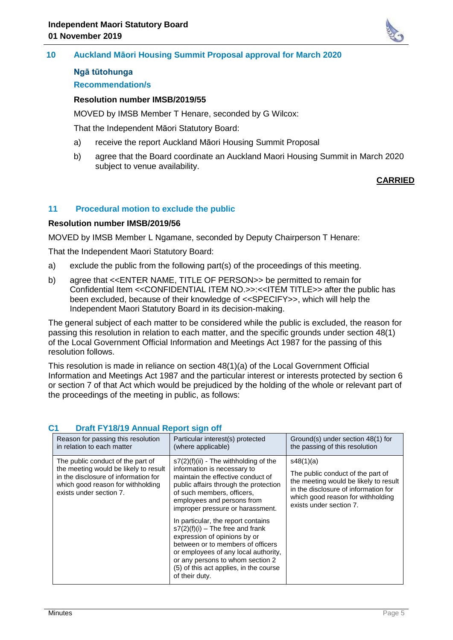

## **10 Auckland Māori Housing Summit Proposal approval for March 2020**

# **Ngā tūtohunga**

# **Recommendation/s**

# **Resolution number IMSB/2019/55**

MOVED by IMSB Member T Henare, seconded by G Wilcox:

That the Independent Māori Statutory Board:

- a) receive the report Auckland Māori Housing Summit Proposal
- b) agree that the Board coordinate an Auckland Maori Housing Summit in March 2020 subject to venue availability.

# **CARRIED**

# **11 Procedural motion to exclude the public**

## **Resolution number IMSB/2019/56**

MOVED by IMSB Member L Ngamane, seconded by Deputy Chairperson T Henare:

That the Independent Maori Statutory Board:

- a) exclude the public from the following part(s) of the proceedings of this meeting.
- b) agree that <<ENTER NAME, TITLE OF PERSON>> be permitted to remain for Confidential Item <<CONFIDENTIAL ITEM NO.>>:<<ITEM TITLE>> after the public has been excluded, because of their knowledge of <<SPECIFY>>, which will help the Independent Maori Statutory Board in its decision-making.

The general subject of each matter to be considered while the public is excluded, the reason for passing this resolution in relation to each matter, and the specific grounds under section 48(1) of the Local Government Official Information and Meetings Act 1987 for the passing of this resolution follows.

This resolution is made in reliance on section 48(1)(a) of the Local Government Official Information and Meetings Act 1987 and the particular interest or interests protected by section 6 or section 7 of that Act which would be prejudiced by the holding of the whole or relevant part of the proceedings of the meeting in public, as follows:

| Reason for passing this resolution                                                                                                                                                 | Particular interest(s) protected                                                                                                                                                                                                                                                                                                                                                                                                                                                                                                            | Ground(s) under section 48(1) for                                                                                                                                                               |
|------------------------------------------------------------------------------------------------------------------------------------------------------------------------------------|---------------------------------------------------------------------------------------------------------------------------------------------------------------------------------------------------------------------------------------------------------------------------------------------------------------------------------------------------------------------------------------------------------------------------------------------------------------------------------------------------------------------------------------------|-------------------------------------------------------------------------------------------------------------------------------------------------------------------------------------------------|
| in relation to each matter                                                                                                                                                         | (where applicable)                                                                                                                                                                                                                                                                                                                                                                                                                                                                                                                          | the passing of this resolution                                                                                                                                                                  |
| The public conduct of the part of<br>the meeting would be likely to result<br>in the disclosure of information for<br>which good reason for withholding<br>exists under section 7. | s7(2)(f)(ii) - The withholding of the<br>information is necessary to<br>maintain the effective conduct of<br>public affairs through the protection<br>of such members, officers.<br>employees and persons from<br>improper pressure or harassment.<br>In particular, the report contains<br>$s7(2)(f)(i)$ – The free and frank<br>expression of opinions by or<br>between or to members of officers<br>or employees of any local authority,<br>or any persons to whom section 2<br>(5) of this act applies, in the course<br>of their duty. | s48(1)(a)<br>The public conduct of the part of<br>the meeting would be likely to result<br>in the disclosure of information for<br>which good reason for withholding<br>exists under section 7. |

# **C1 Draft FY18/19 Annual Report sign off**